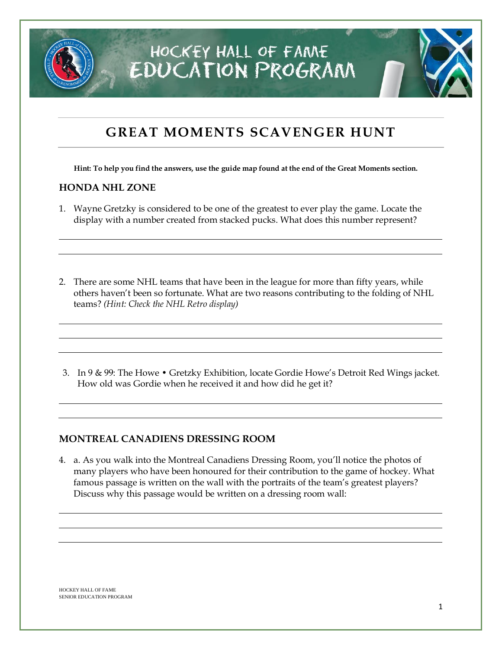

### **GREAT MOMENTS SCAVENGER HUNT**

**Hint: To help you find the answers, use the guide map found at the end of the Great Moments section.**

#### **HONDA NHL ZONE**

1. Wayne Gretzky is considered to be one of the greatest to ever play the game. Locate the display with a number created from stacked pucks. What does this number represent?

2. There are some NHL teams that have been in the league for more than fifty years, while others haven't been so fortunate. What are two reasons contributing to the folding of NHL teams? *(Hint: Check the NHL Retro display)*

3. In 9 & 99: The Howe • Gretzky Exhibition, locate Gordie Howe's Detroit Red Wings jacket. How old was Gordie when he received it and how did he get it?

#### **MONTREAL CANADIENS DRESSING ROOM**

4. a. As you walk into the Montreal Canadiens Dressing Room, you'll notice the photos of many players who have been honoured for their contribution to the game of hockey. What famous passage is written on the wall with the portraits of the team's greatest players? Discuss why this passage would be written on a dressing room wall: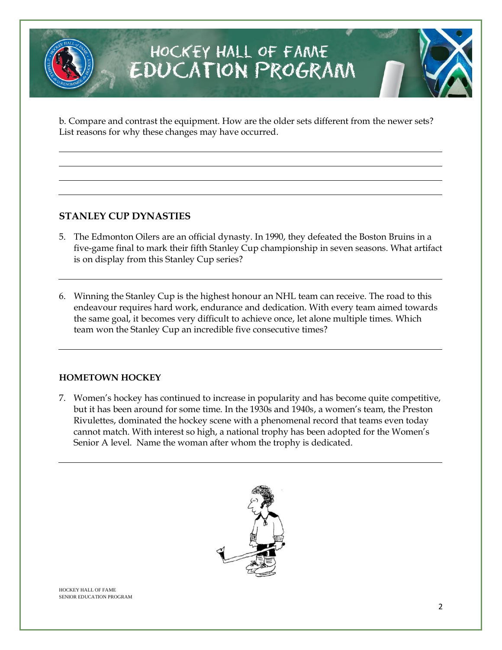# HOCKEY HALL OF FAMAE EDUCATION PROGRAM

b. Compare and contrast the equipment. How are the older sets different from the newer sets? List reasons for why these changes may have occurred.

### **STANLEY CUP DYNASTIES**

- 5. The Edmonton Oilers are an official dynasty. In 1990, they defeated the Boston Bruins in a five-game final to mark their fifth Stanley Cup championship in seven seasons. What artifact is on display from this Stanley Cup series?
- 6. Winning the Stanley Cup is the highest honour an NHL team can receive. The road to this endeavour requires hard work, endurance and dedication. With every team aimed towards the same goal, it becomes very difficult to achieve once, let alone multiple times. Which team won the Stanley Cup an incredible five consecutive times?

#### **HOMETOWN HOCKEY**

7. Women's hockey has continued to increase in popularity and has become quite competitive, but it has been around for some time. In the 1930s and 1940s, a women's team, the Preston Rivulettes, dominated the hockey scene with a phenomenal record that teams even today cannot match. With interest so high, a national trophy has been adopted for the Women's Senior A level. Name the woman after whom the trophy is dedicated.



HOCKEY HALL OF FAME SENIOR EDUCATION PROGRAM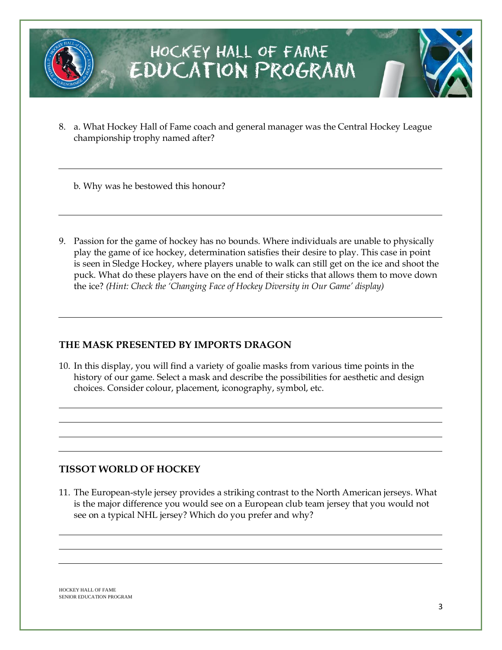

## HOCKEY HALL OF FAME EDUCATION PROGRAM

8. a. What Hockey Hall of Fame coach and general manager was the Central Hockey League championship trophy named after?

b. Why was he bestowed this honour?

9. Passion for the game of hockey has no bounds. Where individuals are unable to physically play the game of ice hockey, determination satisfies their desire to play. This case in point is seen in Sledge Hockey, where players unable to walk can still get on the ice and shoot the puck. What do these players have on the end of their sticks that allows them to move down the ice? *(Hint: Check the 'Changing Face of Hockey Diversity in Our Game' display)*

#### **THE MASK PRESENTED BY IMPORTS DRAGON**

10. In this display, you will find a variety of goalie masks from various time points in the history of our game. Select a mask and describe the possibilities for aesthetic and design choices. Consider colour, placement, iconography, symbol, etc.

### **TISSOT WORLD OF HOCKEY**

11. The European-style jersey provides a striking contrast to the North American jerseys. What is the major difference you would see on a European club team jersey that you would not see on a typical NHL jersey? Which do you prefer and why?

HOCKEY HALL OF FAME SENIOR EDUCATION PROGRAM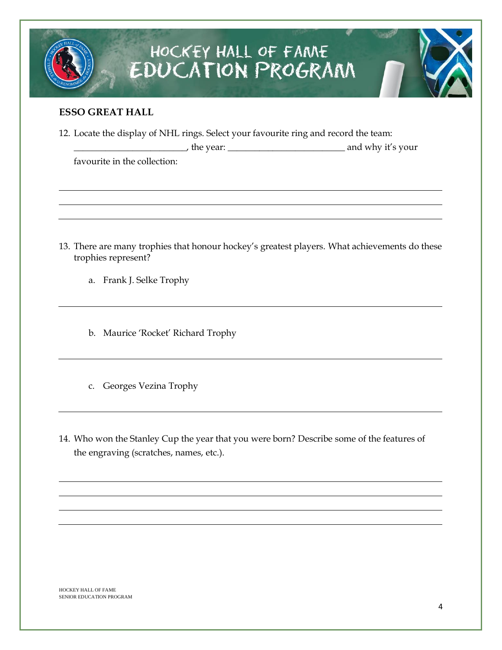# HOCKEY HALL OF FAME EDUCATION PROGRAM

#### **ESSO GREAT HALL**

12. Locate the display of NHL rings. Select your favourite ring and record the team:

|                              | the year: | and why it's your |
|------------------------------|-----------|-------------------|
| favourite in the collection: |           |                   |

- 13. There are many trophies that honour hockey's greatest players. What achievements do these trophies represent?
	- a. Frank J. Selke Trophy
	- b. Maurice 'Rocket' Richard Trophy
	- c. Georges Vezina Trophy
- 14. Who won the Stanley Cup the year that you were born? Describe some of the features of the engraving (scratches, names, etc.).